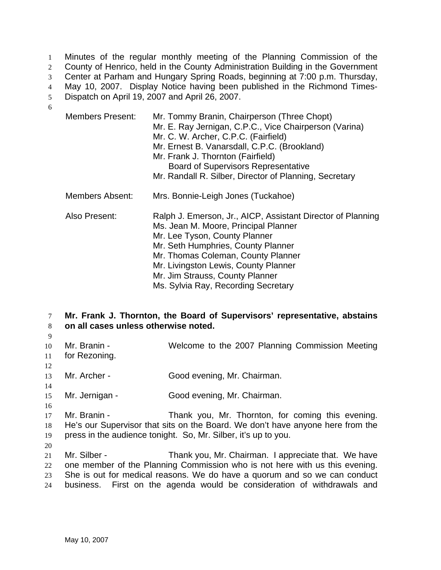Minutes of the regular monthly meeting of the Planning Commission of the County of Henrico, held in the County Administration Building in the Government Center at Parham and Hungary Spring Roads, beginning at 7:00 p.m. Thursday, May 10, 2007. Display Notice having been published in the Richmond Times-Dispatch on April 19, 2007 and April 26, 2007. 1  $2<sup>2</sup>$ 3 4 5 6

| <b>Members Present:</b> | Mr. Tommy Branin, Chairperson (Three Chopt)<br>Mr. E. Ray Jernigan, C.P.C., Vice Chairperson (Varina)<br>Mr. C. W. Archer, C.P.C. (Fairfield)<br>Mr. Ernest B. Vanarsdall, C.P.C. (Brookland)<br>Mr. Frank J. Thornton (Fairfield)<br><b>Board of Supervisors Representative</b><br>Mr. Randall R. Silber, Director of Planning, Secretary |
|-------------------------|--------------------------------------------------------------------------------------------------------------------------------------------------------------------------------------------------------------------------------------------------------------------------------------------------------------------------------------------|
| Members Absent:         | Mrs. Bonnie-Leigh Jones (Tuckahoe)                                                                                                                                                                                                                                                                                                         |
| Also Present:           | Ralph J. Emerson, Jr., AICP, Assistant Director of Planning<br>Ms. Jean M. Moore, Principal Planner<br>Mr. Lee Tyson, County Planner<br>Mr. Seth Humphries, County Planner<br>Mr. Thomas Coleman, County Planner<br>Mr. Livingston Lewis, County Planner<br>Mr. Jim Strauss, County Planner<br>Ms. Sylvia Ray, Recording Secretary         |

7 8 **Mr. Frank J. Thornton, the Board of Supervisors' representative, abstains on all cases unless otherwise noted.** 

- 9
- 10 11 Mr. Branin - Welcome to the 2007 Planning Commission Meeting for Rezoning.
- 12 13 Mr. Archer - Good evening, Mr. Chairman.
- 15 Mr. Jernigan - Good evening, Mr. Chairman.
- 16

14

17 18 19 Mr. Branin - Thank you, Mr. Thornton, for coming this evening. He's our Supervisor that sits on the Board. We don't have anyone here from the press in the audience tonight. So, Mr. Silber, it's up to you.

20

21 22 23 24 Mr. Silber - Thank you, Mr. Chairman. I appreciate that. We have one member of the Planning Commission who is not here with us this evening. She is out for medical reasons. We do have a quorum and so we can conduct business. First on the agenda would be consideration of withdrawals and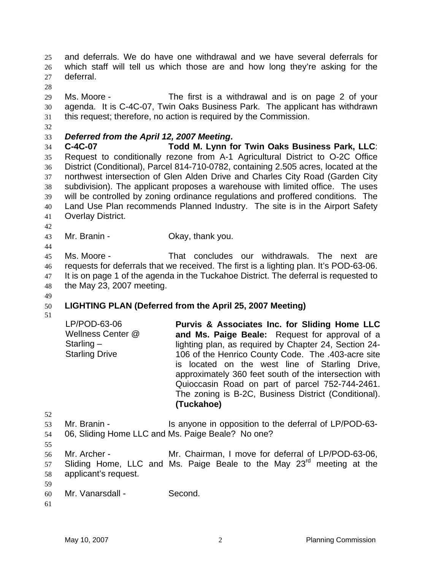and deferrals. We do have one withdrawal and we have several deferrals for which staff will tell us which those are and how long they're asking for the deferral. 25 26 27

28

29 30 31 Ms. Moore - The first is a withdrawal and is on page 2 of your agenda. It is C-4C-07, Twin Oaks Business Park. The applicant has withdrawn this request; therefore, no action is required by the Commission.

32

33 *Deferred from the April 12, 2007 Meeting***.** 

34 35 36 37 38 39 40 41 **C-4C-07 Todd M. Lynn for Twin Oaks Business Park, LLC**: Request to conditionally rezone from A-1 Agricultural District to O-2C Office District (Conditional), Parcel 814-710-0782, containing 2.505 acres, located at the northwest intersection of Glen Alden Drive and Charles City Road (Garden City subdivision). The applicant proposes a warehouse with limited office. The uses will be controlled by zoning ordinance regulations and proffered conditions. The Land Use Plan recommends Planned Industry. The site is in the Airport Safety Overlay District.

42 43

44

Mr. Branin - Ckay, thank you.

45 46 47 48 Ms. Moore - That concludes our withdrawals. The next are requests for deferrals that we received. The first is a lighting plan. It's POD-63-06. It is on page 1 of the agenda in the Tuckahoe District. The deferral is requested to the May 23, 2007 meeting.

- 49 50 **LIGHTING PLAN (Deferred from the April 25, 2007 Meeting)**
- 51

| LP/POD-63-06          | Purvis & Associates Inc. for Sliding Home LLC         |
|-----------------------|-------------------------------------------------------|
| Wellness Center @     | and Ms. Paige Beale: Request for approval of a        |
| Starling $-$          | lighting plan, as required by Chapter 24, Section 24- |
| <b>Starling Drive</b> | 106 of the Henrico County Code. The .403-acre site    |
|                       | is located on the west line of Starling Drive,        |
|                       | approximately 360 feet south of the intersection with |
|                       | Quioccasin Road on part of parcel 752-744-2461.       |
|                       | The zoning is B-2C, Business District (Conditional).  |
|                       | (Tuckahoe)                                            |

- 53 54 Mr. Branin - The Is anyone in opposition to the deferral of LP/POD-63-06, Sliding Home LLC and Ms. Paige Beale? No one?
- 55 56 57 58 Mr. Archer - Mr. Chairman, I move for deferral of LP/POD-63-06, Sliding Home, LLC and Ms. Paige Beale to the May 23<sup>rd</sup> meeting at the applicant's request.
- 59

- 60 Mr. Vanarsdall - Second.
- 61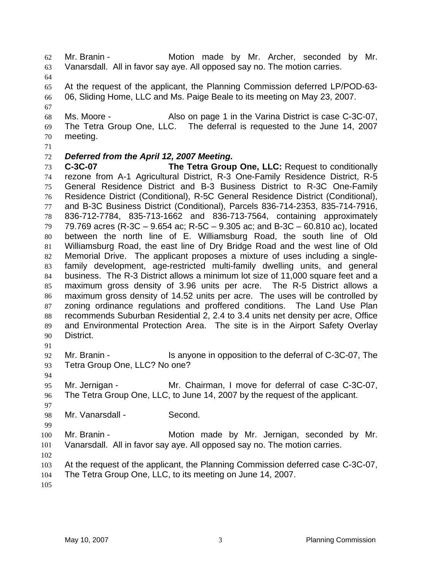Mr. Branin - The Motion made by Mr. Archer, seconded by Mr. Vanarsdall. All in favor say aye. All opposed say no. The motion carries. 62 63

64

67

65 66 At the request of the applicant, the Planning Commission deferred LP/POD-63- 06, Sliding Home, LLC and Ms. Paige Beale to its meeting on May 23, 2007.

68 69 70 Ms. Moore - Also on page 1 in the Varina District is case C-3C-07, The Tetra Group One, LLC. The deferral is requested to the June 14, 2007 meeting.

71

## 72 *Deferred from the April 12, 2007 Meeting.*

73 74 75 76 77 78 79 80 81 82 83 84 85 86 87 88 89 90 **C-3C-07 The Tetra Group One, LLC:** Request to conditionally rezone from A-1 Agricultural District, R-3 One-Family Residence District, R-5 General Residence District and B-3 Business District to R-3C One-Family Residence District (Conditional), R-5C General Residence District (Conditional), and B-3C Business District (Conditional), Parcels 836-714-2353, 835-714-7916, 836-712-7784, 835-713-1662 and 836-713-7564, containing approximately 79.769 acres (R-3C – 9.654 ac; R-5C – 9.305 ac; and B-3C – 60.810 ac), located between the north line of E. Williamsburg Road, the south line of Old Williamsburg Road, the east line of Dry Bridge Road and the west line of Old Memorial Drive. The applicant proposes a mixture of uses including a singlefamily development, age-restricted multi-family dwelling units, and general business. The R-3 District allows a minimum lot size of 11,000 square feet and a maximum gross density of 3.96 units per acre. The R-5 District allows a maximum gross density of 14.52 units per acre. The uses will be controlled by zoning ordinance regulations and proffered conditions. The Land Use Plan recommends Suburban Residential 2, 2.4 to 3.4 units net density per acre, Office and Environmental Protection Area. The site is in the Airport Safety Overlay District.

91

92 93 Mr. Branin - Is anyone in opposition to the deferral of C-3C-07, The Tetra Group One, LLC? No one?

94

95 96 Mr. Jernigan - The Mr. Chairman, I move for deferral of case C-3C-07, The Tetra Group One, LLC, to June 14, 2007 by the request of the applicant.

97 98

99

Mr. Vanarsdall - Second.

100 101 Mr. Branin - Motion made by Mr. Jernigan, seconded by Mr. Vanarsdall. All in favor say aye. All opposed say no. The motion carries.

102

103 At the request of the applicant, the Planning Commission deferred case C-3C-07,

104 The Tetra Group One, LLC, to its meeting on June 14, 2007.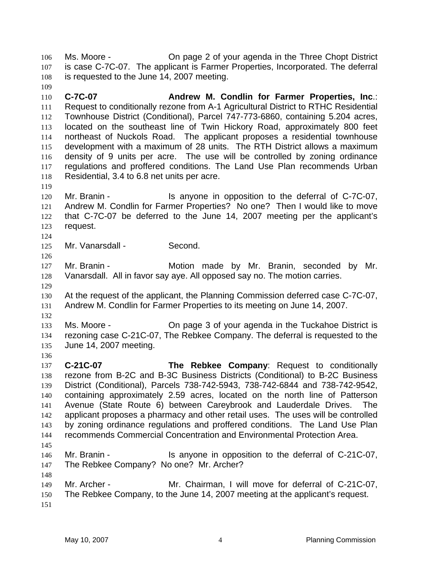Ms. Moore - On page 2 of your agenda in the Three Chopt District is case C-7C-07. The applicant is Farmer Properties, Incorporated. The deferral is requested to the June 14, 2007 meeting. 106 107 108

110 111 112 113 114 115 116 117 118 **C-7C-07 Andrew M. Condlin for Farmer Properties, Inc**.: Request to conditionally rezone from A-1 Agricultural District to RTHC Residential Townhouse District (Conditional), Parcel 747-773-6860, containing 5.204 acres, located on the southeast line of Twin Hickory Road, approximately 800 feet northeast of Nuckols Road. The applicant proposes a residential townhouse development with a maximum of 28 units. The RTH District allows a maximum density of 9 units per acre. The use will be controlled by zoning ordinance regulations and proffered conditions. The Land Use Plan recommends Urban Residential, 3.4 to 6.8 net units per acre.

120 121 122 123 Mr. Branin - The Is anyone in opposition to the deferral of C-7C-07, Andrew M. Condlin for Farmer Properties? No one? Then I would like to move that C-7C-07 be deferred to the June 14, 2007 meeting per the applicant's request.

124

126

119

109

125 Mr. Vanarsdall - Second.

127 128 Mr. Branin - **Motion made by Mr. Branin, seconded by Mr.** Vanarsdall. All in favor say aye. All opposed say no. The motion carries.

129 130 131 At the request of the applicant, the Planning Commission deferred case C-7C-07, Andrew M. Condlin for Farmer Properties to its meeting on June 14, 2007.

132

136

133 134 135 Ms. Moore - On page 3 of your agenda in the Tuckahoe District is rezoning case C-21C-07, The Rebkee Company. The deferral is requested to the June 14, 2007 meeting.

137 138 139 140 141 142 143 144 145 **C-21C-07 The Rebkee Company**: Request to conditionally rezone from B-2C and B-3C Business Districts (Conditional) to B-2C Business District (Conditional), Parcels 738-742-5943, 738-742-6844 and 738-742-9542, containing approximately 2.59 acres, located on the north line of Patterson Avenue (State Route 6) between Careybrook and Lauderdale Drives. The applicant proposes a pharmacy and other retail uses. The uses will be controlled by zoning ordinance regulations and proffered conditions. The Land Use Plan recommends Commercial Concentration and Environmental Protection Area.

146 147 Mr. Branin - Is anyone in opposition to the deferral of C-21C-07, The Rebkee Company? No one? Mr. Archer?

148 149 150 151 Mr. Archer - Mr. Chairman, I will move for deferral of C-21C-07, The Rebkee Company, to the June 14, 2007 meeting at the applicant's request.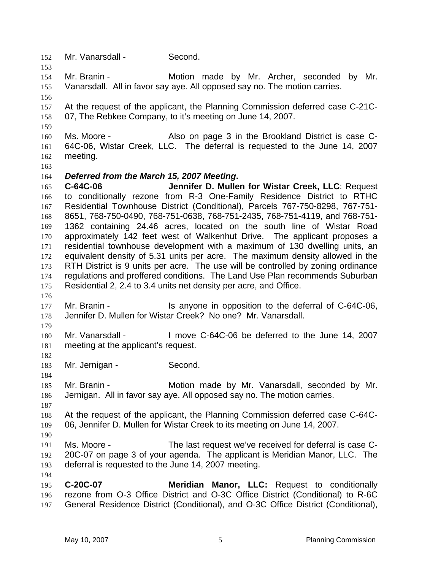- 152 Mr. Vanarsdall Second.
- 154 155 Mr. Branin - The Motion made by Mr. Archer, seconded by Mr. Vanarsdall. All in favor say aye. All opposed say no. The motion carries.
- 156

153

- 157 158 At the request of the applicant, the Planning Commission deferred case C-21C-07, The Rebkee Company, to it's meeting on June 14, 2007.
- 159
- 160 161 162 Ms. Moore - Also on page 3 in the Brookland District is case C-64C-06, Wistar Creek, LLC. The deferral is requested to the June 14, 2007 meeting.
- 163

## 164 *Deferred from the March 15, 2007 Meeting***.**

165 166 167 168 169 170 171 172 173 174 175 **C-64C-06 Jennifer D. Mullen for Wistar Creek, LLC**: Request to conditionally rezone from R-3 One-Family Residence District to RTHC Residential Townhouse District (Conditional), Parcels 767-750-8298, 767-751- 8651, 768-750-0490, 768-751-0638, 768-751-2435, 768-751-4119, and 768-751- 1362 containing 24.46 acres, located on the south line of Wistar Road approximately 142 feet west of Walkenhut Drive. The applicant proposes a residential townhouse development with a maximum of 130 dwelling units, an equivalent density of 5.31 units per acre. The maximum density allowed in the RTH District is 9 units per acre. The use will be controlled by zoning ordinance regulations and proffered conditions. The Land Use Plan recommends Suburban Residential 2, 2.4 to 3.4 units net density per acre, and Office.

- 177 178 Mr. Branin - The Is anyone in opposition to the deferral of C-64C-06, Jennifer D. Mullen for Wistar Creek? No one? Mr. Vanarsdall.
- 179

182

184

176

180 181 Mr. Vanarsdall - I move C-64C-06 be deferred to the June 14, 2007 meeting at the applicant's request.

183 Mr. Jernigan - Second.

185 186 Mr. Branin - **Motion made by Mr. Vanarsdall, seconded by Mr.** Jernigan. All in favor say aye. All opposed say no. The motion carries.

- 187
- 188 189 At the request of the applicant, the Planning Commission deferred case C-64C-06, Jennifer D. Mullen for Wistar Creek to its meeting on June 14, 2007.
- 190

194

191 192 193 Ms. Moore - The last request we've received for deferral is case C-20C-07 on page 3 of your agenda. The applicant is Meridian Manor, LLC. The deferral is requested to the June 14, 2007 meeting.

195 196 197 **C-20C-07 Meridian Manor, LLC:** Request to conditionally rezone from O-3 Office District and O-3C Office District (Conditional) to R-6C General Residence District (Conditional), and O-3C Office District (Conditional),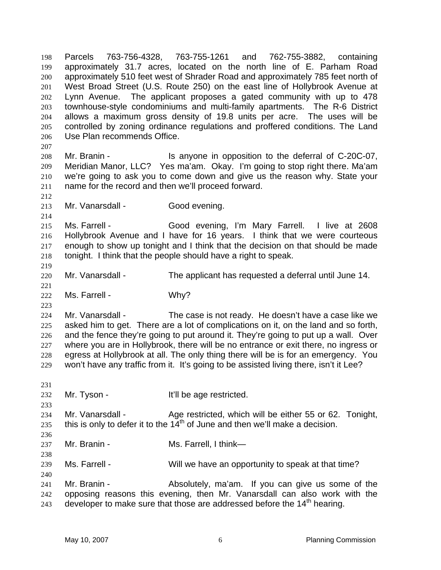approximately 31.7 acres, located on the north line of E. Parham Road approximately 510 feet west of Shrader Road and approximately 785 feet north of West Broad Street (U.S. Route 250) on the east line of Hollybrook Avenue at Lynn Avenue. The applicant proposes a gated community with up to 478 townhouse-style condominiums and multi-family apartments. The R-6 District allows a maximum gross density of 19.8 units per acre. The uses will be controlled by zoning ordinance regulations and proffered conditions. The Land Use Plan recommends Office. 199 200 201 202 203 204 205 206 207 208 209 210 211 212 213 214 215 216 217 218 219 220 221 222 223 224 225 226 227 228 229 231 232 233 234 235 236 237 238 239 240 241 242 243 Mr. Branin - The Is anyone in opposition to the deferral of C-20C-07, Meridian Manor, LLC? Yes ma'am. Okay. I'm going to stop right there. Ma'am we're going to ask you to come down and give us the reason why. State your name for the record and then we'll proceed forward. Mr. Vanarsdall - Good evening. Ms. Farrell - Good evening, I'm Mary Farrell. I live at 2608 Hollybrook Avenue and I have for 16 years. I think that we were courteous enough to show up tonight and I think that the decision on that should be made tonight. I think that the people should have a right to speak. Mr. Vanarsdall - The applicant has requested a deferral until June 14. Ms. Farrell - Why? Mr. Vanarsdall - The case is not ready. He doesn't have a case like we asked him to get. There are a lot of complications on it, on the land and so forth, and the fence they're going to put around it. They're going to put up a wall. Over where you are in Hollybrook, there will be no entrance or exit there, no ingress or egress at Hollybrook at all. The only thing there will be is for an emergency. You won't have any traffic from it. It's going to be assisted living there, isn't it Lee? Mr. Tyson - The Music Hill be age restricted. Mr. Vanarsdall - Age restricted, which will be either 55 or 62. Tonight, this is only to defer it to the  $14<sup>th</sup>$  of June and then we'll make a decision. Mr. Branin - Ms. Farrell, I think— Ms. Farrell - Will we have an opportunity to speak at that time? Mr. Branin - Absolutely, ma'am. If you can give us some of the opposing reasons this evening, then Mr. Vanarsdall can also work with the developer to make sure that those are addressed before the  $14<sup>th</sup>$  hearing.

Parcels 763-756-4328, 763-755-1261 and 762-755-3882, containing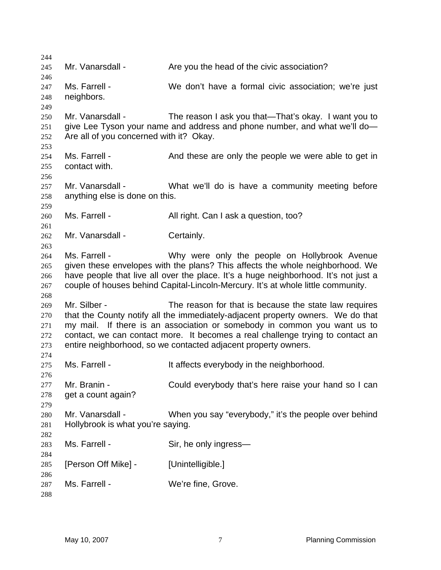244 245 246 247 248 249 250 251 252 253 254 255 256 257 258 259 260 261 262 263 264 265 266 267 268 269 270 271 272 273 274 275 276 277 278 279 280 281 282 283 284 285 286 287 288 Mr. Vanarsdall - Are you the head of the civic association? Ms. Farrell - We don't have a formal civic association; we're just neighbors. Mr. Vanarsdall - The reason I ask you that—That's okay. I want you to give Lee Tyson your name and address and phone number, and what we'll do— Are all of you concerned with it? Okay. Ms. Farrell - And these are only the people we were able to get in contact with. Mr. Vanarsdall - What we'll do is have a community meeting before anything else is done on this. Ms. Farrell - All right. Can I ask a question, too? Mr. Vanarsdall - Certainly. Ms. Farrell - Why were only the people on Hollybrook Avenue given these envelopes with the plans? This affects the whole neighborhood. We have people that live all over the place. It's a huge neighborhood. It's not just a couple of houses behind Capital-Lincoln-Mercury. It's at whole little community. Mr. Silber - The reason for that is because the state law requires that the County notify all the immediately-adjacent property owners. We do that my mail. If there is an association or somebody in common you want us to contact, we can contact more. It becomes a real challenge trying to contact an entire neighborhood, so we contacted adjacent property owners. Ms. Farrell - The Music everybody in the neighborhood. Mr. Branin - Could everybody that's here raise your hand so I can get a count again? Mr. Vanarsdall - When you say "everybody," it's the people over behind Hollybrook is what you're saying. Ms. Farrell - Sir, he only ingress— [Person Off Mike] - [Unintelligible.] Ms. Farrell - We're fine, Grove.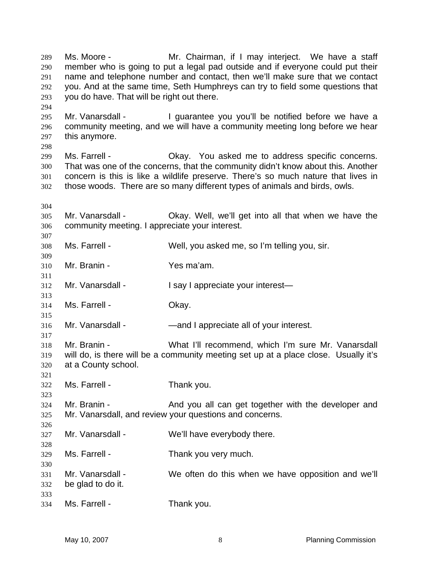Ms. Moore - **Mr.** Chairman, if I may interject. We have a staff member who is going to put a legal pad outside and if everyone could put their name and telephone number and contact, then we'll make sure that we contact you. And at the same time, Seth Humphreys can try to field some questions that you do have. That will be right out there. 289 290 291 292 293 294

295 296 297 Mr. Vanarsdall - I guarantee you you'll be notified before we have a community meeting, and we will have a community meeting long before we hear this anymore.

298

299 300 301 302 Ms. Farrell - Okay. You asked me to address specific concerns. That was one of the concerns, that the community didn't know about this. Another concern is this is like a wildlife preserve. There's so much nature that lives in those woods. There are so many different types of animals and birds, owls.

304

307

309

311

313

315

317

321

323

326

328

330

305 306 Mr. Vanarsdall - Okay. Well, we'll get into all that when we have the community meeting. I appreciate your interest.

308 Ms. Farrell - Well, you asked me, so I'm telling you, sir.

310 Mr. Branin - Yes ma'am.

312 Mr. Vanarsdall - I say I appreciate your interest—

314 Ms. Farrell - Chay.

316 Mr. Vanarsdall - — — — — — — — — and I appreciate all of your interest.

318 319 320 Mr. Branin - What I'll recommend, which I'm sure Mr. Vanarsdall will do, is there will be a community meeting set up at a place close. Usually it's at a County school.

322 Ms. Farrell - Thank you.

324 325 Mr. Branin - The And you all can get together with the developer and Mr. Vanarsdall, and review your questions and concerns.

327 Mr. Vanarsdall - We'll have everybody there.

329 Ms. Farrell - Thank you very much.

- 331 332 333 Mr. Vanarsdall - We often do this when we have opposition and we'll be glad to do it.
- 334 Ms. Farrell - Thank you.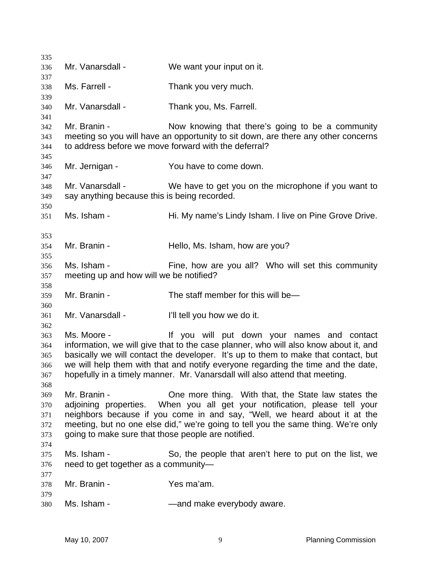| 335                                    |                                                                    |                                                                                                                                                                                                                                                                                                                                                                                              |  |  |  |  |  |  |  |
|----------------------------------------|--------------------------------------------------------------------|----------------------------------------------------------------------------------------------------------------------------------------------------------------------------------------------------------------------------------------------------------------------------------------------------------------------------------------------------------------------------------------------|--|--|--|--|--|--|--|
| 336<br>337                             | Mr. Vanarsdall -                                                   | We want your input on it.                                                                                                                                                                                                                                                                                                                                                                    |  |  |  |  |  |  |  |
| 338<br>339                             | Ms. Farrell -                                                      | Thank you very much.                                                                                                                                                                                                                                                                                                                                                                         |  |  |  |  |  |  |  |
| 340<br>341                             | Mr. Vanarsdall -                                                   | Thank you, Ms. Farrell.                                                                                                                                                                                                                                                                                                                                                                      |  |  |  |  |  |  |  |
| 342<br>343<br>344<br>345               | Mr. Branin -                                                       | Now knowing that there's going to be a community<br>meeting so you will have an opportunity to sit down, are there any other concerns<br>to address before we move forward with the deferral?                                                                                                                                                                                                |  |  |  |  |  |  |  |
| 346<br>347                             | Mr. Jernigan -                                                     | You have to come down.                                                                                                                                                                                                                                                                                                                                                                       |  |  |  |  |  |  |  |
| 348<br>349<br>350                      | Mr. Vanarsdall -<br>say anything because this is being recorded.   | We have to get you on the microphone if you want to                                                                                                                                                                                                                                                                                                                                          |  |  |  |  |  |  |  |
| 351                                    | Ms. Isham -                                                        | Hi. My name's Lindy Isham. I live on Pine Grove Drive.                                                                                                                                                                                                                                                                                                                                       |  |  |  |  |  |  |  |
| 353<br>354<br>355                      | Mr. Branin -                                                       | Hello, Ms. Isham, how are you?                                                                                                                                                                                                                                                                                                                                                               |  |  |  |  |  |  |  |
| 356<br>357                             | Ms. Isham -                                                        | Fine, how are you all? Who will set this community<br>meeting up and how will we be notified?                                                                                                                                                                                                                                                                                                |  |  |  |  |  |  |  |
| 358<br>359                             | Mr. Branin -                                                       | The staff member for this will be-                                                                                                                                                                                                                                                                                                                                                           |  |  |  |  |  |  |  |
| 360<br>361<br>362                      | Mr. Vanarsdall -                                                   | I'll tell you how we do it.                                                                                                                                                                                                                                                                                                                                                                  |  |  |  |  |  |  |  |
| 363<br>364<br>365<br>366<br>367<br>368 | Ms. Moore -                                                        | If you will put down your names and contact<br>information, we will give that to the case planner, who will also know about it, and<br>basically we will contact the developer. It's up to them to make that contact, but<br>we will help them with that and notify everyone regarding the time and the date,<br>hopefully in a timely manner. Mr. Vanarsdall will also attend that meeting. |  |  |  |  |  |  |  |
| 369<br>370<br>371<br>372<br>373        | Mr. Branin -<br>going to make sure that those people are notified. | One more thing. With that, the State law states the<br>adjoining properties. When you all get your notification, please tell your<br>neighbors because if you come in and say, "Well, we heard about it at the<br>meeting, but no one else did," we're going to tell you the same thing. We're only                                                                                          |  |  |  |  |  |  |  |
| 374<br>375<br>376                      | Ms. Isham -<br>need to get together as a community-                | So, the people that aren't here to put on the list, we                                                                                                                                                                                                                                                                                                                                       |  |  |  |  |  |  |  |
| 377<br>378                             | Mr. Branin -                                                       | Yes ma'am.                                                                                                                                                                                                                                                                                                                                                                                   |  |  |  |  |  |  |  |
| 379<br>380                             | Ms. Isham -                                                        | -and make everybody aware.                                                                                                                                                                                                                                                                                                                                                                   |  |  |  |  |  |  |  |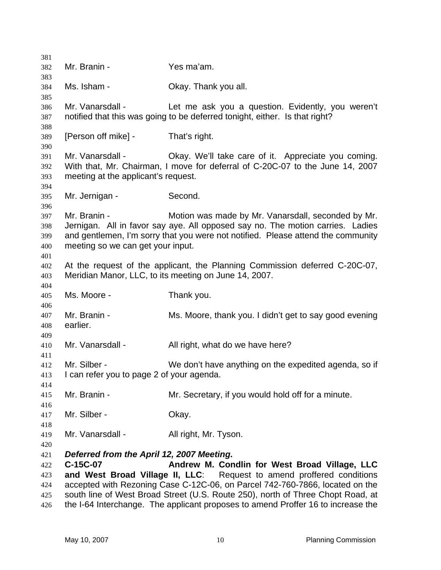| 381        |                                           |                                                                                  |  |  |  |  |  |
|------------|-------------------------------------------|----------------------------------------------------------------------------------|--|--|--|--|--|
| 382        | Mr. Branin -                              | Yes ma'am.                                                                       |  |  |  |  |  |
| 383<br>384 | Ms. Isham -                               | Okay. Thank you all.                                                             |  |  |  |  |  |
| 385        |                                           |                                                                                  |  |  |  |  |  |
| 386        | Mr. Vanarsdall -                          | Let me ask you a question. Evidently, you weren't                                |  |  |  |  |  |
| 387        |                                           | notified that this was going to be deferred tonight, either. Is that right?      |  |  |  |  |  |
| 388        |                                           |                                                                                  |  |  |  |  |  |
| 389        | [Person off mike] -                       | That's right.                                                                    |  |  |  |  |  |
| 390        |                                           |                                                                                  |  |  |  |  |  |
| 391        | Mr. Vanarsdall -                          | Okay. We'll take care of it. Appreciate you coming.                              |  |  |  |  |  |
| 392        |                                           | With that, Mr. Chairman, I move for deferral of C-20C-07 to the June 14, 2007    |  |  |  |  |  |
| 393<br>394 | meeting at the applicant's request.       |                                                                                  |  |  |  |  |  |
| 395        | Mr. Jernigan -                            | Second.                                                                          |  |  |  |  |  |
| 396        |                                           |                                                                                  |  |  |  |  |  |
| 397        | Mr. Branin -                              | Motion was made by Mr. Vanarsdall, seconded by Mr.                               |  |  |  |  |  |
| 398        |                                           | Jernigan. All in favor say aye. All opposed say no. The motion carries. Ladies   |  |  |  |  |  |
| 399        |                                           | and gentlemen, I'm sorry that you were not notified. Please attend the community |  |  |  |  |  |
| 400        | meeting so we can get your input.         |                                                                                  |  |  |  |  |  |
| 401        |                                           |                                                                                  |  |  |  |  |  |
| 402        |                                           | At the request of the applicant, the Planning Commission deferred C-20C-07,      |  |  |  |  |  |
| 403        |                                           | Meridian Manor, LLC, to its meeting on June 14, 2007.                            |  |  |  |  |  |
| 404        | Ms. Moore -                               |                                                                                  |  |  |  |  |  |
| 405<br>406 |                                           | Thank you.                                                                       |  |  |  |  |  |
| 407        | Mr. Branin -                              | Ms. Moore, thank you. I didn't get to say good evening                           |  |  |  |  |  |
| 408        | earlier.                                  |                                                                                  |  |  |  |  |  |
| 409        |                                           |                                                                                  |  |  |  |  |  |
| 410        | Mr. Vanarsdall -                          | All right, what do we have here?                                                 |  |  |  |  |  |
| 411        |                                           |                                                                                  |  |  |  |  |  |
| 412        | Mr. Silber -                              | We don't have anything on the expedited agenda, so if                            |  |  |  |  |  |
| 413        | I can refer you to page 2 of your agenda. |                                                                                  |  |  |  |  |  |
| 414        |                                           |                                                                                  |  |  |  |  |  |
| 415        | Mr. Branin -                              | Mr. Secretary, if you would hold off for a minute.                               |  |  |  |  |  |
| 416        |                                           |                                                                                  |  |  |  |  |  |
| 417<br>418 | Mr. Silber -                              | Okay.                                                                            |  |  |  |  |  |
| 419        | Mr. Vanarsdall -                          | All right, Mr. Tyson.                                                            |  |  |  |  |  |
| 420        |                                           |                                                                                  |  |  |  |  |  |
| 421        | Deferred from the April 12, 2007 Meeting. |                                                                                  |  |  |  |  |  |
| 422        | C-15C-07                                  | Andrew M. Condlin for West Broad Village, LLC                                    |  |  |  |  |  |
| 423        |                                           | and West Broad Village II, LLC: Request to amend proffered conditions            |  |  |  |  |  |
| 424        |                                           | accepted with Rezoning Case C-12C-06, on Parcel 742-760-7866, located on the     |  |  |  |  |  |
| 425        |                                           | south line of West Broad Street (U.S. Route 250), north of Three Chopt Road, at  |  |  |  |  |  |
| 426        |                                           | the I-64 Interchange. The applicant proposes to amend Proffer 16 to increase the |  |  |  |  |  |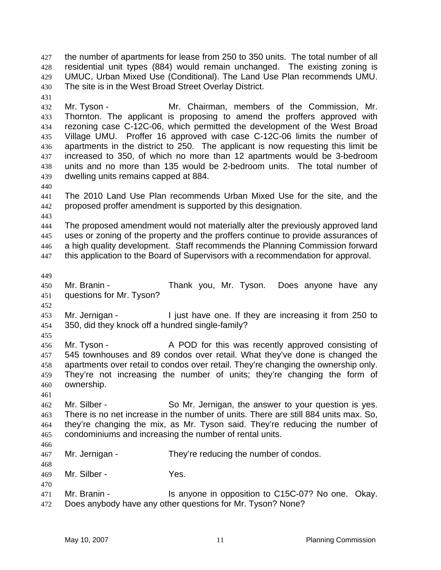the number of apartments for lease from 250 to 350 units. The total number of all residential unit types (884) would remain unchanged. The existing zoning is UMUC, Urban Mixed Use (Conditional). The Land Use Plan recommends UMU. The site is in the West Broad Street Overlay District. 427 428 429 430

432 433 434 435 436 437 438 439 Mr. Tyson - The Mr. Chairman, members of the Commission, Mr. Thornton. The applicant is proposing to amend the proffers approved with rezoning case C-12C-06, which permitted the development of the West Broad Village UMU. Proffer 16 approved with case C-12C-06 limits the number of apartments in the district to 250. The applicant is now requesting this limit be increased to 350, of which no more than 12 apartments would be 3-bedroom units and no more than 135 would be 2-bedroom units. The total number of dwelling units remains capped at 884.

441 442 The 2010 Land Use Plan recommends Urban Mixed Use for the site, and the proposed proffer amendment is supported by this designation.

443

440

431

444 445 446 447 The proposed amendment would not materially alter the previously approved land uses or zoning of the property and the proffers continue to provide assurances of a high quality development. Staff recommends the Planning Commission forward this application to the Board of Supervisors with a recommendation for approval.

449

452

455

466

468

470

450 451 Mr. Branin - Thank you, Mr. Tyson. Does anyone have any questions for Mr. Tyson?

453 454 Mr. Jernigan - The state one. If they are increasing it from 250 to 350, did they knock off a hundred single-family?

456 457 458 459 460 Mr. Tyson - The A POD for this was recently approved consisting of 545 townhouses and 89 condos over retail. What they've done is changed the apartments over retail to condos over retail. They're changing the ownership only. They're not increasing the number of units; they're changing the form of ownership.

461 462 463 464 465 Mr. Silber - So Mr. Jernigan, the answer to your question is yes. There is no net increase in the number of units. There are still 884 units max. So, they're changing the mix, as Mr. Tyson said. They're reducing the number of condominiums and increasing the number of rental units.

467 Mr. Jernigan - They're reducing the number of condos.

469 Mr. Silber - Yes.

471 472 Mr. Branin - Is anyone in opposition to C15C-07? No one. Okay. Does anybody have any other questions for Mr. Tyson? None?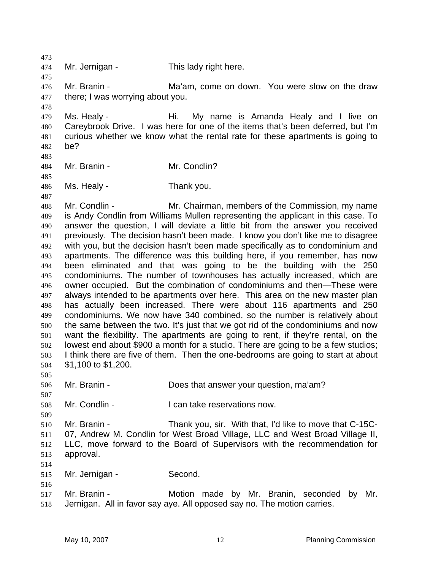473 474 475 476 477 478 479 480 481 482 483 484 485 486 487 488 489 490 491 492 493 494 495 496 497 498 499 500 501 502 503 504 505 506 507 508 509 510 511 512 513 514 515 516 517 518 Mr. Jernigan - This lady right here. Mr. Branin - Ma'am, come on down. You were slow on the draw there; I was worrying about you. Ms. Healy - Hi. My name is Amanda Healy and I live on Careybrook Drive. I was here for one of the items that's been deferred, but I'm curious whether we know what the rental rate for these apartments is going to be? Mr. Branin - Mr. Condlin? Ms. Healy - Thank you. Mr. Condlin - The Mr. Chairman, members of the Commission, my name is Andy Condlin from Williams Mullen representing the applicant in this case. To answer the question, I will deviate a little bit from the answer you received previously. The decision hasn't been made. I know you don't like me to disagree with you, but the decision hasn't been made specifically as to condominium and apartments. The difference was this building here, if you remember, has now been eliminated and that was going to be the building with the 250 condominiums. The number of townhouses has actually increased, which are owner occupied. But the combination of condominiums and then—These were always intended to be apartments over here. This area on the new master plan has actually been increased. There were about 116 apartments and 250 condominiums. We now have 340 combined, so the number is relatively about the same between the two. It's just that we got rid of the condominiums and now want the flexibility. The apartments are going to rent, if they're rental, on the lowest end about \$900 a month for a studio. There are going to be a few studios; I think there are five of them. Then the one-bedrooms are going to start at about \$1,100 to \$1,200. Mr. Branin - **Does that answer your question, ma'am?** Mr. Condlin - The Loan take reservations now. Mr. Branin - Thank you, sir. With that, I'd like to move that C-15C-07, Andrew M. Condlin for West Broad Village, LLC and West Broad Village II, LLC, move forward to the Board of Supervisors with the recommendation for approval. Mr. Jernigan - Second. Mr. Branin - The Motion made by Mr. Branin, seconded by Mr. Jernigan. All in favor say aye. All opposed say no. The motion carries.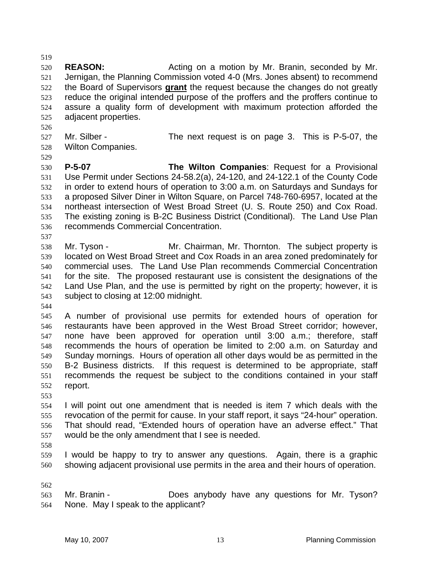520 521 **REASON:** Acting on a motion by Mr. Branin, seconded by Mr. Jernigan, the Planning Commission voted 4-0 (Mrs. Jones absent) to recommend the Board of Supervisors **grant** the request because the changes do not greatly reduce the original intended purpose of the proffers and the proffers continue to assure a quality form of development with maximum protection afforded the adjacent properties. 522 523 524 525

- 527 528 Mr. Silber - The next request is on page 3. This is P-5-07, the Wilton Companies.
- 529

526

519

530 531 532 533 534 535 536 **P-5-07 The Wilton Companies**: Request for a Provisional Use Permit under Sections 24-58.2(a), 24-120, and 24-122.1 of the County Code in order to extend hours of operation to 3:00 a.m. on Saturdays and Sundays for a proposed Silver Diner in Wilton Square, on Parcel 748-760-6957, located at the northeast intersection of West Broad Street (U. S. Route 250) and Cox Road. The existing zoning is B-2C Business District (Conditional). The Land Use Plan recommends Commercial Concentration.

538 539 540 541 542 543 Mr. Tyson - The Subject property is Mr. Chairman, Mr. Thornton. The subject property is located on West Broad Street and Cox Roads in an area zoned predominately for commercial uses. The Land Use Plan recommends Commercial Concentration for the site. The proposed restaurant use is consistent the designations of the Land Use Plan, and the use is permitted by right on the property; however, it is subject to closing at 12:00 midnight.

544

537

545 546 547 548 549 550 551 552 A number of provisional use permits for extended hours of operation for restaurants have been approved in the West Broad Street corridor; however, none have been approved for operation until 3:00 a.m.; therefore, staff recommends the hours of operation be limited to 2:00 a.m. on Saturday and Sunday mornings. Hours of operation all other days would be as permitted in the B-2 Business districts. If this request is determined to be appropriate, staff recommends the request be subject to the conditions contained in your staff report.

553

554 555 556 557 I will point out one amendment that is needed is item 7 which deals with the revocation of the permit for cause. In your staff report, it says "24-hour" operation. That should read, "Extended hours of operation have an adverse effect." That would be the only amendment that I see is needed.

558

559 560 I would be happy to try to answer any questions. Again, there is a graphic showing adjacent provisional use permits in the area and their hours of operation.

562

563 564 Mr. Branin - **Does anybody have any questions for Mr.** Tyson? None. May I speak to the applicant?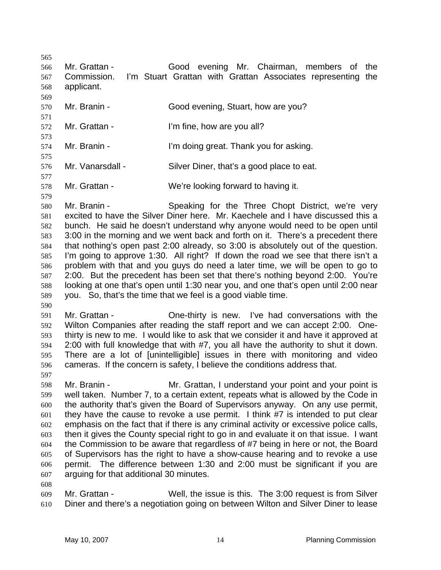565 566 567 568 569 Mr. Grattan - Good evening Mr. Chairman, members of the Commission. I'm Stuart Grattan with Grattan Associates representing the applicant.

- 570 571 Mr. Branin - Good evening, Stuart, how are you?
- 572 573 Mr. Grattan - I'm fine, how are you all?
- 574 Mr. Branin - I'm doing great. Thank you for asking.
- 575 576 Mr. Vanarsdall - Silver Diner, that's a good place to eat.
- 577 578 Mr. Grattan - We're looking forward to having it.

579 580 581 582 583 584 585 586 587 588 589 Mr. Branin - Speaking for the Three Chopt District, we're very excited to have the Silver Diner here. Mr. Kaechele and I have discussed this a bunch. He said he doesn't understand why anyone would need to be open until 3:00 in the morning and we went back and forth on it. There's a precedent there that nothing's open past 2:00 already, so 3:00 is absolutely out of the question. I'm going to approve 1:30. All right? If down the road we see that there isn't a problem with that and you guys do need a later time, we will be open to go to 2:00. But the precedent has been set that there's nothing beyond 2:00. You're looking at one that's open until 1:30 near you, and one that's open until 2:00 near you. So, that's the time that we feel is a good viable time.

- 590 591 592 593 594 595 596 Mr. Grattan - Che-thirty is new. I've had conversations with the Wilton Companies after reading the staff report and we can accept 2:00. Onethirty is new to me. I would like to ask that we consider it and have it approved at 2:00 with full knowledge that with #7, you all have the authority to shut it down. There are a lot of [unintelligible] issues in there with monitoring and video cameras. If the concern is safety, I believe the conditions address that.
- 597

- 598 599 600 601 602 603 604 605 606 607 Mr. Branin - Mr. Grattan, I understand your point and your point is well taken. Number 7, to a certain extent, repeats what is allowed by the Code in the authority that's given the Board of Supervisors anyway. On any use permit, they have the cause to revoke a use permit. I think #7 is intended to put clear emphasis on the fact that if there is any criminal activity or excessive police calls, then it gives the County special right to go in and evaluate it on that issue. I want the Commission to be aware that regardless of #7 being in here or not, the Board of Supervisors has the right to have a show-cause hearing and to revoke a use permit. The difference between 1:30 and 2:00 must be significant if you are arguing for that additional 30 minutes.
- 609 610 Mr. Grattan - Well, the issue is this. The 3:00 request is from Silver Diner and there's a negotiation going on between Wilton and Silver Diner to lease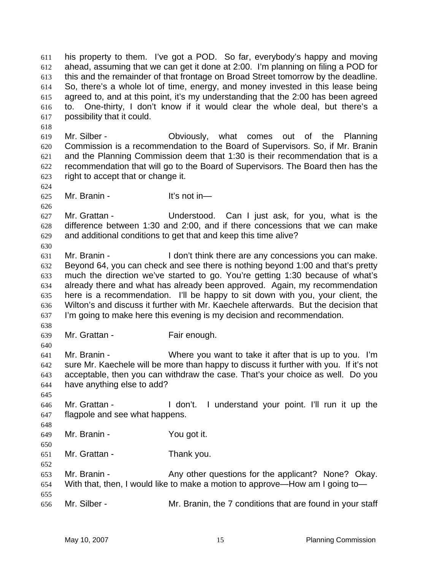his property to them. I've got a POD. So far, everybody's happy and moving ahead, assuming that we can get it done at 2:00. I'm planning on filing a POD for this and the remainder of that frontage on Broad Street tomorrow by the deadline. So, there's a whole lot of time, energy, and money invested in this lease being agreed to, and at this point, it's my understanding that the 2:00 has been agreed to. One-thirty, I don't know if it would clear the whole deal, but there's a possibility that it could. 611 612 613 614 615 616 617

- 619 620 621 622 623 Mr. Silber - Obviously, what comes out of the Planning Commission is a recommendation to the Board of Supervisors. So, if Mr. Branin and the Planning Commission deem that 1:30 is their recommendation that is a recommendation that will go to the Board of Supervisors. The Board then has the right to accept that or change it.
- 625 Mr. Branin - It's not in—

627 628 629 Mr. Grattan - Understood. Can I just ask, for you, what is the difference between 1:30 and 2:00, and if there concessions that we can make and additional conditions to get that and keep this time alive?

- 631 632 633 634 635 636 637 Mr. Branin - The State of I don't think there are any concessions you can make. Beyond 64, you can check and see there is nothing beyond 1:00 and that's pretty much the direction we've started to go. You're getting 1:30 because of what's already there and what has already been approved. Again, my recommendation here is a recommendation. I'll be happy to sit down with you, your client, the Wilton's and discuss it further with Mr. Kaechele afterwards. But the decision that I'm going to make here this evening is my decision and recommendation.
- 638 639

640

618

624

626

630

- Mr. Grattan Fair enough.
- 641 642 643 644 Mr. Branin - Where you want to take it after that is up to you. I'm sure Mr. Kaechele will be more than happy to discuss it further with you. If it's not acceptable, then you can withdraw the case. That's your choice as well. Do you have anything else to add?
- 645 646

648

647 Mr. Grattan - The Mon't. I understand your point. I'll run it up the flagpole and see what happens.

- 649 Mr. Branin - You got it.
- 650 651 Mr. Grattan - Thank you.
- 652 653 654 655 656 Mr. Branin - **Any other questions for the applicant?** None? Okay. With that, then, I would like to make a motion to approve—How am I going to— Mr. Silber - The Mr. Branin, the 7 conditions that are found in your staff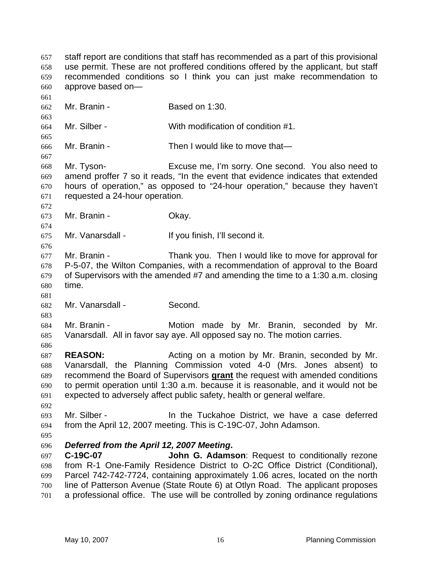staff report are conditions that staff has recommended as a part of this provisional use permit. These are not proffered conditions offered by the applicant, but staff recommended conditions so I think you can just make recommendation to approve based on— 657 658 659 660 661 662 663 664 665 666 667 668 669 670 671 672 673 674 675 676 677 678 679 680 681 682 683 684 685 686 687 688 Mr. Branin - Based on 1:30. Mr. Silber - With modification of condition #1. Mr. Branin - Then I would like to move that— Mr. Tyson- Excuse me, I'm sorry. One second. You also need to amend proffer 7 so it reads, "In the event that evidence indicates that extended hours of operation," as opposed to "24-hour operation," because they haven't requested a 24-hour operation. Mr. Branin - Ckay. Mr. Vanarsdall - If you finish, I'll second it. Mr. Branin - Thank you. Then I would like to move for approval for P-5-07, the Wilton Companies, with a recommendation of approval to the Board of Supervisors with the amended #7 and amending the time to a 1:30 a.m. closing time. Mr. Vanarsdall - Second. Mr. Branin - The Motion made by Mr. Branin, seconded by Mr. Vanarsdall. All in favor say aye. All opposed say no. The motion carries. **REASON:** Acting on a motion by Mr. Branin, seconded by Mr. Vanarsdall, the Planning Commission voted 4-0 (Mrs. Jones absent) to recommend the Board of Supervisors **grant** the request with amended conditions to permit operation until 1:30 a.m. because it is reasonable, and it would not be expected to adversely affect public safety, health or general welfare. 689 690 691 692 693 694 695 696 697 698 699 700 701 Mr. Silber - The Tuckahoe District, we have a case deferred from the April 12, 2007 meeting. This is C-19C-07, John Adamson. *Deferred from the April 12, 2007 Meeting***. C-19C-07 John G. Adamson**: Request to conditionally rezone from R-1 One-Family Residence District to O-2C Office District (Conditional), Parcel 742-742-7724, containing approximately 1.06 acres, located on the north line of Patterson Avenue (State Route 6) at Otlyn Road. The applicant proposes a professional office. The use will be controlled by zoning ordinance regulations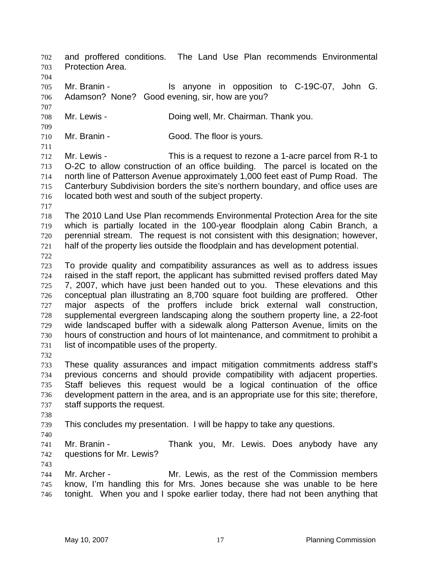and proffered conditions. The Land Use Plan recommends Environmental Protection Area. 702 703 704 705 706 707 708 709 710 711 712 713 714 715 716 717 718 719 720 721 722 723 724 725 726 727 728 729 730 731 732 733 734 735 736 737 738 739 740 741 742 743 744 745 746 Mr. Branin - The Stanyone in opposition to C-19C-07, John G. Adamson? None? Good evening, sir, how are you? Mr. Lewis - **Doing well, Mr. Chairman. Thank you.** Mr. Branin - Good. The floor is yours. Mr. Lewis - This is a request to rezone a 1-acre parcel from R-1 to O-2C to allow construction of an office building. The parcel is located on the north line of Patterson Avenue approximately 1,000 feet east of Pump Road. The Canterbury Subdivision borders the site's northern boundary, and office uses are located both west and south of the subject property. The 2010 Land Use Plan recommends Environmental Protection Area for the site which is partially located in the 100-year floodplain along Cabin Branch, a perennial stream. The request is not consistent with this designation; however, half of the property lies outside the floodplain and has development potential. To provide quality and compatibility assurances as well as to address issues raised in the staff report, the applicant has submitted revised proffers dated May 7, 2007, which have just been handed out to you. These elevations and this conceptual plan illustrating an 8,700 square foot building are proffered. Other major aspects of the proffers include brick external wall construction, supplemental evergreen landscaping along the southern property line, a 22-foot wide landscaped buffer with a sidewalk along Patterson Avenue, limits on the hours of construction and hours of lot maintenance, and commitment to prohibit a list of incompatible uses of the property. These quality assurances and impact mitigation commitments address staff's previous concerns and should provide compatibility with adjacent properties. Staff believes this request would be a logical continuation of the office development pattern in the area, and is an appropriate use for this site; therefore, staff supports the request. This concludes my presentation. I will be happy to take any questions. Mr. Branin - Thank you, Mr. Lewis. Does anybody have any questions for Mr. Lewis? Mr. Archer - Mr. Lewis, as the rest of the Commission members know, I'm handling this for Mrs. Jones because she was unable to be here tonight. When you and I spoke earlier today, there had not been anything that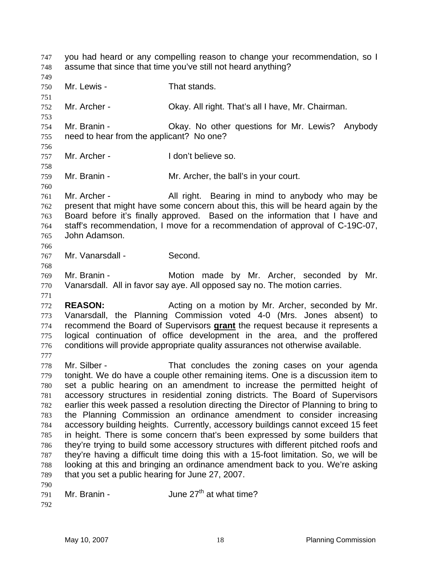you had heard or any compelling reason to change your recommendation, so I assume that since that time you've still not heard anything? 747 748 749 750 751 752 753 754 755 756 757 758 759 760 761 762 763 764 765 766 767 768 769 770 771 772 773 Mr. Lewis - That stands. Mr. Archer - Ckay. All right. That's all I have, Mr. Chairman. Mr. Branin - **CKAY.** No other questions for Mr. Lewis? Anybody need to hear from the applicant? No one? Mr. Archer - The I don't believe so. Mr. Branin - Mr. Archer, the ball's in your court. Mr. Archer - All right. Bearing in mind to anybody who may be present that might have some concern about this, this will be heard again by the Board before it's finally approved. Based on the information that I have and staff's recommendation, I move for a recommendation of approval of C-19C-07, John Adamson. Mr. Vanarsdall - Second. Mr. Branin - Motion made by Mr. Archer, seconded by Mr. Vanarsdall. All in favor say aye. All opposed say no. The motion carries. **REASON:** Acting on a motion by Mr. Archer, seconded by Mr. Vanarsdall, the Planning Commission voted 4-0 (Mrs. Jones absent) to recommend the Board of Supervisors **grant** the request because it represents a logical continuation of office development in the area, and the proffered conditions will provide appropriate quality assurances not otherwise available. 774 775 776 777 778 779 780 781 782 783 784 785 786 787 788 789 790 791 792 Mr. Silber - That concludes the zoning cases on your agenda tonight. We do have a couple other remaining items. One is a discussion item to set a public hearing on an amendment to increase the permitted height of accessory structures in residential zoning districts. The Board of Supervisors earlier this week passed a resolution directing the Director of Planning to bring to the Planning Commission an ordinance amendment to consider increasing accessory building heights. Currently, accessory buildings cannot exceed 15 feet in height. There is some concern that's been expressed by some builders that they're trying to build some accessory structures with different pitched roofs and they're having a difficult time doing this with a 15-foot limitation. So, we will be looking at this and bringing an ordinance amendment back to you. We're asking that you set a public hearing for June 27, 2007. Mr. Branin -  $\mu$  June 27<sup>th</sup> at what time?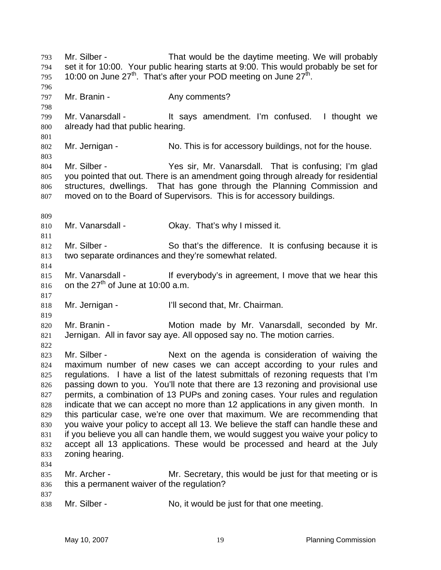Mr. Silber - That would be the daytime meeting. We will probably set it for 10:00. Your public hearing starts at 9:00. This would probably be set for 10:00 on June  $27^{th}$ . That's after your POD meeting on June  $27^{th}$ . 793 794 795 796 797 798 799 800 801 802 803 804 805 806 807 809 810 811 812 813 814 815 816 817 818 819 820 821 822 823 824 825 826 827 828 829 830 831 832 833 834 835 836 837 838 Mr. Branin - The Any comments? Mr. Vanarsdall - It says amendment. I'm confused. I thought we already had that public hearing. Mr. Jernigan - No. This is for accessory buildings, not for the house. Mr. Silber - Yes sir, Mr. Vanarsdall. That is confusing; I'm glad you pointed that out. There is an amendment going through already for residential structures, dwellings. That has gone through the Planning Commission and moved on to the Board of Supervisors. This is for accessory buildings. Mr. Vanarsdall - Ckay. That's why I missed it. Mr. Silber - So that's the difference. It is confusing because it is two separate ordinances and they're somewhat related. Mr. Vanarsdall - The If everybody's in agreement, I move that we hear this on the  $27<sup>th</sup>$  of June at 10:00 a.m. Mr. Jernigan - I'll second that, Mr. Chairman. Mr. Branin - Motion made by Mr. Vanarsdall, seconded by Mr. Jernigan. All in favor say aye. All opposed say no. The motion carries. Mr. Silber - Next on the agenda is consideration of waiving the maximum number of new cases we can accept according to your rules and regulations. I have a list of the latest submittals of rezoning requests that I'm passing down to you. You'll note that there are 13 rezoning and provisional use permits, a combination of 13 PUPs and zoning cases. Your rules and regulation indicate that we can accept no more than 12 applications in any given month. In this particular case, we're one over that maximum. We are recommending that you waive your policy to accept all 13. We believe the staff can handle these and if you believe you all can handle them, we would suggest you waive your policy to accept all 13 applications. These would be processed and heard at the July zoning hearing. Mr. Archer - Mr. Secretary, this would be just for that meeting or is this a permanent waiver of the regulation? Mr. Silber - No, it would be just for that one meeting.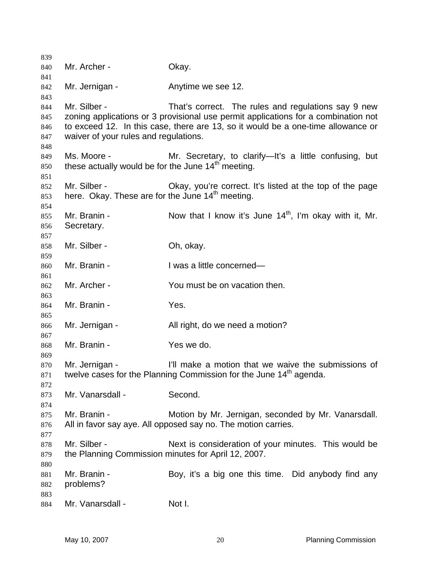| 839 |                                                                                  |                                                                                    |  |  |  |  |  |  |  |  |
|-----|----------------------------------------------------------------------------------|------------------------------------------------------------------------------------|--|--|--|--|--|--|--|--|
| 840 | Mr. Archer -                                                                     | Okay.                                                                              |  |  |  |  |  |  |  |  |
| 841 |                                                                                  |                                                                                    |  |  |  |  |  |  |  |  |
| 842 | Mr. Jernigan -                                                                   | Anytime we see 12.                                                                 |  |  |  |  |  |  |  |  |
| 843 |                                                                                  |                                                                                    |  |  |  |  |  |  |  |  |
| 844 | Mr. Silber -                                                                     | That's correct. The rules and regulations say 9 new                                |  |  |  |  |  |  |  |  |
| 845 |                                                                                  | zoning applications or 3 provisional use permit applications for a combination not |  |  |  |  |  |  |  |  |
| 846 | to exceed 12. In this case, there are 13, so it would be a one-time allowance or |                                                                                    |  |  |  |  |  |  |  |  |
| 847 | waiver of your rules and regulations.                                            |                                                                                    |  |  |  |  |  |  |  |  |
| 848 |                                                                                  |                                                                                    |  |  |  |  |  |  |  |  |
| 849 | Ms. Moore -                                                                      | Mr. Secretary, to clarify—It's a little confusing, but                             |  |  |  |  |  |  |  |  |
| 850 | these actually would be for the June 14 <sup>th</sup> meeting.                   |                                                                                    |  |  |  |  |  |  |  |  |
| 851 |                                                                                  |                                                                                    |  |  |  |  |  |  |  |  |
| 852 | Mr. Silber -                                                                     | Okay, you're correct. It's listed at the top of the page                           |  |  |  |  |  |  |  |  |
| 853 | here. Okay. These are for the June 14 <sup>th</sup> meeting.                     |                                                                                    |  |  |  |  |  |  |  |  |
| 854 |                                                                                  |                                                                                    |  |  |  |  |  |  |  |  |
| 855 | Mr. Branin -                                                                     | Now that I know it's June $14th$ , I'm okay with it, Mr.                           |  |  |  |  |  |  |  |  |
| 856 | Secretary.                                                                       |                                                                                    |  |  |  |  |  |  |  |  |
| 857 |                                                                                  |                                                                                    |  |  |  |  |  |  |  |  |
| 858 | Mr. Silber -                                                                     | Oh, okay.                                                                          |  |  |  |  |  |  |  |  |
| 859 |                                                                                  |                                                                                    |  |  |  |  |  |  |  |  |
| 860 | Mr. Branin -                                                                     | I was a little concerned-                                                          |  |  |  |  |  |  |  |  |
| 861 |                                                                                  |                                                                                    |  |  |  |  |  |  |  |  |
| 862 | Mr. Archer -                                                                     | You must be on vacation then.                                                      |  |  |  |  |  |  |  |  |
| 863 |                                                                                  |                                                                                    |  |  |  |  |  |  |  |  |
| 864 | Mr. Branin -                                                                     | Yes.                                                                               |  |  |  |  |  |  |  |  |
| 865 |                                                                                  |                                                                                    |  |  |  |  |  |  |  |  |
| 866 | Mr. Jernigan -                                                                   | All right, do we need a motion?                                                    |  |  |  |  |  |  |  |  |
| 867 |                                                                                  |                                                                                    |  |  |  |  |  |  |  |  |
| 868 | Mr. Branin -                                                                     | Yes we do.                                                                         |  |  |  |  |  |  |  |  |
| 869 |                                                                                  |                                                                                    |  |  |  |  |  |  |  |  |
| 870 | Mr. Jernigan -                                                                   | I'll make a motion that we waive the submissions of                                |  |  |  |  |  |  |  |  |
| 871 |                                                                                  | twelve cases for the Planning Commission for the June 14 <sup>th</sup> agenda.     |  |  |  |  |  |  |  |  |
| 872 |                                                                                  |                                                                                    |  |  |  |  |  |  |  |  |
| 873 | Mr. Vanarsdall -                                                                 | Second.                                                                            |  |  |  |  |  |  |  |  |
| 874 |                                                                                  |                                                                                    |  |  |  |  |  |  |  |  |
| 875 | Mr. Branin -                                                                     | Motion by Mr. Jernigan, seconded by Mr. Vanarsdall.                                |  |  |  |  |  |  |  |  |
| 876 |                                                                                  | All in favor say aye. All opposed say no. The motion carries.                      |  |  |  |  |  |  |  |  |
| 877 |                                                                                  |                                                                                    |  |  |  |  |  |  |  |  |
| 878 | Mr. Silber -                                                                     | Next is consideration of your minutes. This would be                               |  |  |  |  |  |  |  |  |
| 879 | the Planning Commission minutes for April 12, 2007.                              |                                                                                    |  |  |  |  |  |  |  |  |
| 880 |                                                                                  |                                                                                    |  |  |  |  |  |  |  |  |
| 881 | Mr. Branin -                                                                     | Boy, it's a big one this time. Did anybody find any                                |  |  |  |  |  |  |  |  |
| 882 | problems?                                                                        |                                                                                    |  |  |  |  |  |  |  |  |
| 883 |                                                                                  |                                                                                    |  |  |  |  |  |  |  |  |
| 884 | Mr. Vanarsdall -                                                                 | Not I.                                                                             |  |  |  |  |  |  |  |  |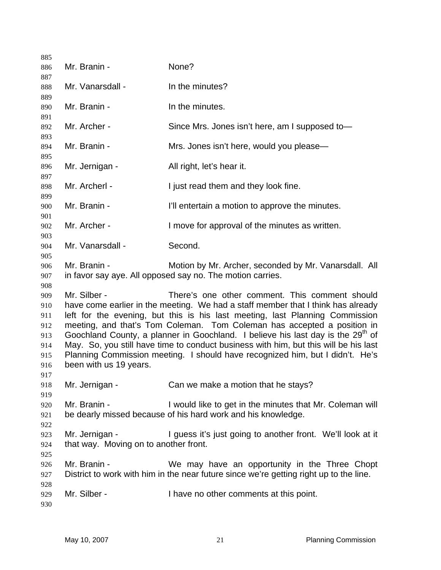| 885        |                                                                                                                                                         |                                                                                        |  |  |  |  |  |  |
|------------|---------------------------------------------------------------------------------------------------------------------------------------------------------|----------------------------------------------------------------------------------------|--|--|--|--|--|--|
| 886        | Mr. Branin -                                                                                                                                            | None?                                                                                  |  |  |  |  |  |  |
| 887        |                                                                                                                                                         |                                                                                        |  |  |  |  |  |  |
| 888        | Mr. Vanarsdall -                                                                                                                                        | In the minutes?                                                                        |  |  |  |  |  |  |
| 889        |                                                                                                                                                         |                                                                                        |  |  |  |  |  |  |
| 890        | Mr. Branin -                                                                                                                                            | In the minutes.                                                                        |  |  |  |  |  |  |
| 891        |                                                                                                                                                         |                                                                                        |  |  |  |  |  |  |
| 892        | Mr. Archer -                                                                                                                                            | Since Mrs. Jones isn't here, am I supposed to-                                         |  |  |  |  |  |  |
| 893        | Mr. Branin -                                                                                                                                            | Mrs. Jones isn't here, would you please-                                               |  |  |  |  |  |  |
| 894<br>895 |                                                                                                                                                         |                                                                                        |  |  |  |  |  |  |
| 896        | Mr. Jernigan -                                                                                                                                          | All right, let's hear it.                                                              |  |  |  |  |  |  |
| 897        |                                                                                                                                                         |                                                                                        |  |  |  |  |  |  |
| 898        | Mr. Archerl -                                                                                                                                           | I just read them and they look fine.                                                   |  |  |  |  |  |  |
| 899        |                                                                                                                                                         |                                                                                        |  |  |  |  |  |  |
| 900        | Mr. Branin -                                                                                                                                            | I'll entertain a motion to approve the minutes.                                        |  |  |  |  |  |  |
| 901        |                                                                                                                                                         |                                                                                        |  |  |  |  |  |  |
| 902        | Mr. Archer -                                                                                                                                            | I move for approval of the minutes as written.                                         |  |  |  |  |  |  |
| 903        |                                                                                                                                                         |                                                                                        |  |  |  |  |  |  |
| 904        | Mr. Vanarsdall -                                                                                                                                        | Second.                                                                                |  |  |  |  |  |  |
| 905        |                                                                                                                                                         |                                                                                        |  |  |  |  |  |  |
| 906        | Mr. Branin -                                                                                                                                            | Motion by Mr. Archer, seconded by Mr. Vanarsdall. All                                  |  |  |  |  |  |  |
| 907        |                                                                                                                                                         | in favor say aye. All opposed say no. The motion carries.                              |  |  |  |  |  |  |
| 908        | Mr. Silber -                                                                                                                                            | There's one other comment. This comment should                                         |  |  |  |  |  |  |
| 909<br>910 |                                                                                                                                                         | have come earlier in the meeting. We had a staff member that I think has already       |  |  |  |  |  |  |
| 911        |                                                                                                                                                         |                                                                                        |  |  |  |  |  |  |
| 912        | left for the evening, but this is his last meeting, last Planning Commission<br>meeting, and that's Tom Coleman. Tom Coleman has accepted a position in |                                                                                        |  |  |  |  |  |  |
| 913        | Goochland County, a planner in Goochland. I believe his last day is the 29 <sup>th</sup> of                                                             |                                                                                        |  |  |  |  |  |  |
| 914        |                                                                                                                                                         | May. So, you still have time to conduct business with him, but this will be his last   |  |  |  |  |  |  |
| 915        | Planning Commission meeting. I should have recognized him, but I didn't. He's                                                                           |                                                                                        |  |  |  |  |  |  |
| 916        | been with us 19 years.                                                                                                                                  |                                                                                        |  |  |  |  |  |  |
| 917        |                                                                                                                                                         |                                                                                        |  |  |  |  |  |  |
| 918        | Mr. Jernigan -                                                                                                                                          | Can we make a motion that he stays?                                                    |  |  |  |  |  |  |
| 919        |                                                                                                                                                         |                                                                                        |  |  |  |  |  |  |
| 920        | Mr. Branin -                                                                                                                                            | I would like to get in the minutes that Mr. Coleman will                               |  |  |  |  |  |  |
| 921        |                                                                                                                                                         | be dearly missed because of his hard work and his knowledge.                           |  |  |  |  |  |  |
| 922        |                                                                                                                                                         |                                                                                        |  |  |  |  |  |  |
| 923        | Mr. Jernigan -                                                                                                                                          | I guess it's just going to another front. We'll look at it                             |  |  |  |  |  |  |
| 924        | that way. Moving on to another front.                                                                                                                   |                                                                                        |  |  |  |  |  |  |
| 925        |                                                                                                                                                         |                                                                                        |  |  |  |  |  |  |
| 926        | Mr. Branin -                                                                                                                                            | We may have an opportunity in the Three Chopt                                          |  |  |  |  |  |  |
| 927<br>928 |                                                                                                                                                         | District to work with him in the near future since we're getting right up to the line. |  |  |  |  |  |  |
| 929        | Mr. Silber -                                                                                                                                            | I have no other comments at this point.                                                |  |  |  |  |  |  |
| 930        |                                                                                                                                                         |                                                                                        |  |  |  |  |  |  |
|            |                                                                                                                                                         |                                                                                        |  |  |  |  |  |  |